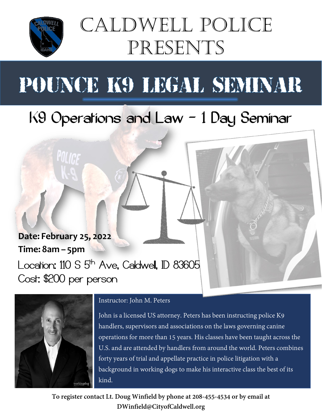

## Caldwell Police Presents

# POUNCE K9 LEGAL SEMINAR

### K9 Operations and Law – 1 Day Seminar

### **Date: February 25, 2022 Time: 8am – 5pm** Location:  $110 S 5<sup>th</sup> Ave$ , Caldwell, ID 83605

Cost: \$200 per person



#### Instructor: John M. Peters

John is a licensed US attorney. Peters has been instructing police K9 handlers, supervisors and associations on the laws governing canine operations for more than 15 years. His classes have been taught across the U.S. and are attended by handlers from around the world. Peters combines forty years of trial and appellate practice in police litigation with a background in working dogs to make his interactive class the best of its kind.

**To register contact Lt. Doug Winfield by phone at 208-455-4534 or by email at DWinfield@CityofCaldwell.org**